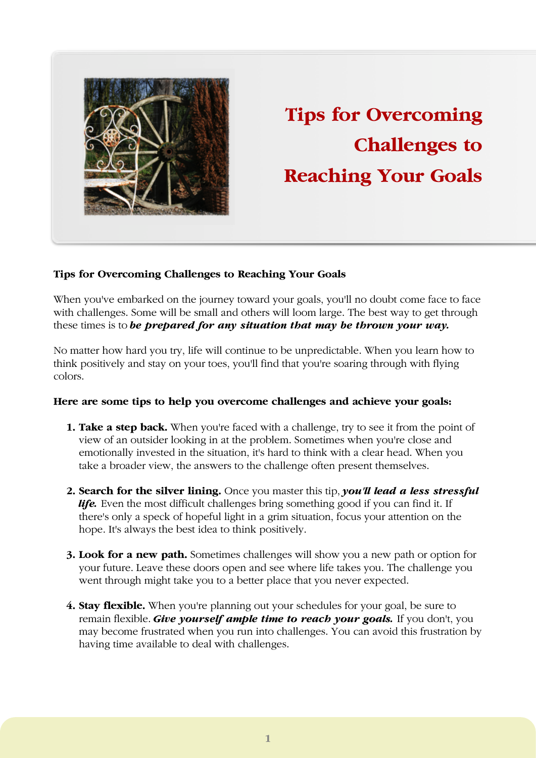

## **Tips for Overcoming Challenges to Reaching Your Goals**

## **Tips for Overcoming Challenges to Reaching Your Goals**

When you've embarked on the journey toward your goals, you'll no doubt come face to face with challenges. Some will be small and others will loom large. The best way to get through these times is to *be prepared for any situation that may be thrown your way.* 

No matter how hard you try, life will continue to be unpredictable. When you learn how to think positively and stay on your toes, you'll find that you're soaring through with flying colors.

## **Here are some tips to help you overcome challenges and achieve your goals:**

- **1. Take a step back.** When you're faced with a challenge, try to see it from the point of view of an outsider looking in at the problem. Sometimes when you're close and emotionally invested in the situation, it's hard to think with a clear head. When you take a broader view, the answers to the challenge often present themselves.
- **2. Search for the silver lining.** Once you master this tip, *you'll lead a less stressful* life. Even the most difficult challenges bring something good if you can find it. If there's only a speck of hopeful light in a grim situation, focus your attention on the hope. It's always the best idea to think positively.
- **3. Look for a new path.** Sometimes challenges will show you a new path or option for your future. Leave these doors open and see where life takes you. The challenge you went through might take you to a better place that you never expected.
- **4. Stay flexible.** When you're planning out your schedules for your goal, be sure to remain flexible. *Give yourself ample time to reach your goals.* If you don't, you may become frustrated when you run into challenges. You can avoid this frustration by having time available to deal with challenges.